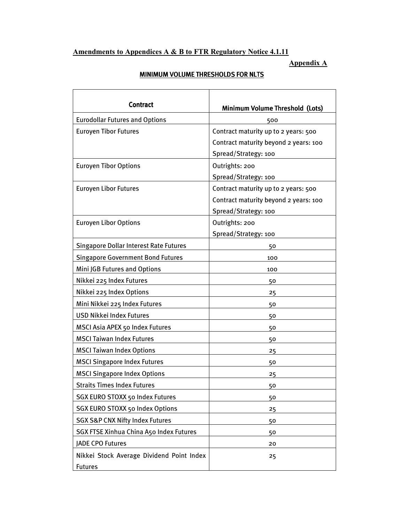#### Amendments to Appendices A & B to FTR Regulatory Notice 4.1.11

Appendix A

| <b>Contract</b>                                             | <b>Minimum Volume Threshold (Lots)</b>                                                                |
|-------------------------------------------------------------|-------------------------------------------------------------------------------------------------------|
| <b>Eurodollar Futures and Options</b>                       | 500                                                                                                   |
| <b>Euroyen Tibor Futures</b>                                | Contract maturity up to 2 years: 500<br>Contract maturity beyond 2 years: 100<br>Spread/Strategy: 100 |
| <b>Euroyen Tibor Options</b>                                | Outrights: 200<br>Spread/Strategy: 100                                                                |
| <b>Euroyen Libor Futures</b>                                | Contract maturity up to 2 years: 500<br>Contract maturity beyond 2 years: 100<br>Spread/Strategy: 100 |
| <b>Euroyen Libor Options</b>                                | Outrights: 200<br>Spread/Strategy: 100                                                                |
| <b>Singapore Dollar Interest Rate Futures</b>               | 50                                                                                                    |
| <b>Singapore Government Bond Futures</b>                    | 100                                                                                                   |
| Mini JGB Futures and Options                                | 100                                                                                                   |
| Nikkei 225 Index Futures                                    | 50                                                                                                    |
| Nikkei 225 Index Options                                    | 25                                                                                                    |
| Mini Nikkei 225 Index Futures                               | 50                                                                                                    |
| <b>USD Nikkei Index Futures</b>                             | 50                                                                                                    |
| MSCI Asia APEX 50 Index Futures                             | 50                                                                                                    |
| <b>MSCI Taiwan Index Futures</b>                            | 50                                                                                                    |
| <b>MSCI Taiwan Index Options</b>                            | 25                                                                                                    |
| <b>MSCI Singapore Index Futures</b>                         | 50                                                                                                    |
| <b>MSCI Singapore Index Options</b>                         | 25                                                                                                    |
| <b>Straits Times Index Futures</b>                          | 50                                                                                                    |
| SGX EURO STOXX 50 Index Futures                             | 50                                                                                                    |
| <b>SGX EURO STOXX 50 Index Options</b>                      | 25                                                                                                    |
| <b>SGX S&amp;P CNX Nifty Index Futures</b>                  | 50                                                                                                    |
| <b>SGX FTSE Xinhua China A50 Index Futures</b>              | 50                                                                                                    |
| <b>JADE CPO Futures</b>                                     | 20                                                                                                    |
| Nikkei Stock Average Dividend Point Index<br><b>Futures</b> | 25                                                                                                    |

## MINIMUM VOLUME THRESHOLDS FOR NLTS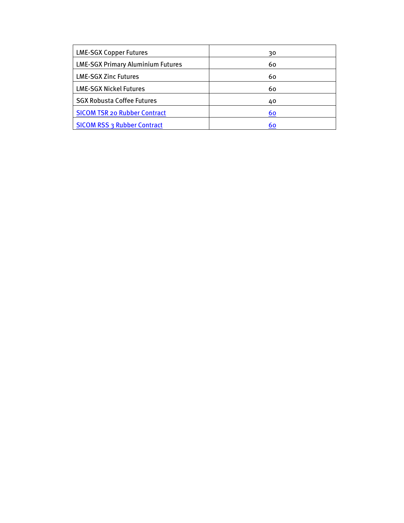| <b>LME-SGX Copper Futures</b>            | 30 |
|------------------------------------------|----|
| <b>LME-SGX Primary Aluminium Futures</b> | 60 |
| <b>LME-SGX Zinc Futures</b>              | 60 |
| <b>LME-SGX Nickel Futures</b>            | 60 |
| <b>SGX Robusta Coffee Futures</b>        | 40 |
| <b>SICOM TSR 20 Rubber Contract</b>      | 60 |
| <b>SICOM RSS 3 Rubber Contract</b>       | 60 |
|                                          |    |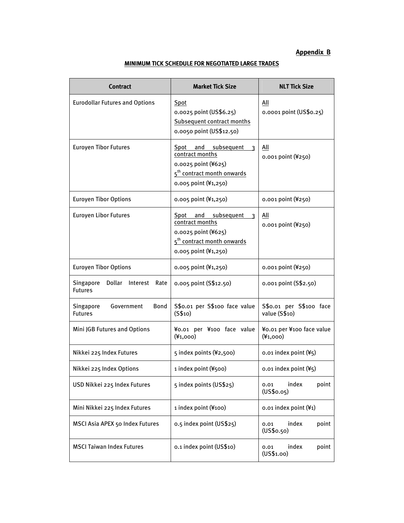### Appendix B

| <b>Contract</b>                                           | <b>Market Tick Size</b>                                                                                                                                       | <b>NLT Tick Size</b>                     |
|-----------------------------------------------------------|---------------------------------------------------------------------------------------------------------------------------------------------------------------|------------------------------------------|
| <b>Eurodollar Futures and Options</b>                     | Spot<br>0.0025 point (US\$6.25)<br><b>Subsequent contract months</b><br>0.0050 point (US\$12.50)                                                              | All<br>0.0001 point (US\$0.25)           |
| <b>Euroyen Tibor Futures</b>                              | Spot and subsequent 3<br>contract months<br>0.0025 point (¥625)<br>5 <sup>th</sup> contract month onwards<br>0.005 point (¥1,250)                             | All<br>0.001 point (¥250)                |
| <b>Euroyen Tibor Options</b>                              | 0.005 point (¥1,250)                                                                                                                                          | 0.001 point (¥250)                       |
| <b>Euroyen Libor Futures</b>                              | and subsequent<br>Spot<br>$\overline{\mathbf{3}}$<br>contract months<br>0.0025 point (¥625)<br>5 <sup>th</sup> contract month onwards<br>0.005 point (¥1,250) | All<br>0.001 point (¥250)                |
| <b>Euroyen Tibor Options</b>                              | 0.005 point (¥1,250)                                                                                                                                          | 0.001 point (¥250)                       |
| Dollar<br>Singapore<br>Interest<br>Rate<br><b>Futures</b> | 0.005 point (S\$12.50)                                                                                                                                        | 0.001 point (S\$2.50)                    |
| Singapore<br><b>Bond</b><br>Government<br><b>Futures</b>  | S\$0.01 per S\$100 face value<br>(S\$10)                                                                                                                      | S\$0.01 per S\$100 face<br>value (S\$10) |
| Mini JGB Futures and Options                              | ¥0.01 per ¥100 face value<br>$(*1,000)$                                                                                                                       | ¥0.01 per ¥100 face value<br>$(*1,000)$  |
| Nikkei 225 Index Futures                                  | 5 index points (¥2,500)                                                                                                                                       | 0.01 index point (¥5)                    |
| Nikkei 225 Index Options                                  | 1 index point (¥500)                                                                                                                                          | $0.01$ index point $(45)$                |
| USD Nikkei 225 Index Futures                              | 5 index points (US\$25)                                                                                                                                       | index<br>point<br>0.01<br>(US\$0.05)     |
| Mini Nikkei 225 Index Futures                             | 1 index point (¥100)                                                                                                                                          | 0.01 index point (¥1)                    |
| MSCI Asia APEX 50 Index Futures                           | 0.5 index point (US\$25)                                                                                                                                      | index<br>point<br>0.01<br>(US\$o.50)     |
| <b>MSCI Taiwan Index Futures</b>                          | 0.1 index point (US\$10)                                                                                                                                      | index<br>point<br>0.01<br>(US\$1.00)     |

#### MINIMUM TICK SCHEDULE FOR NEGOTIATED LARGE TRADES